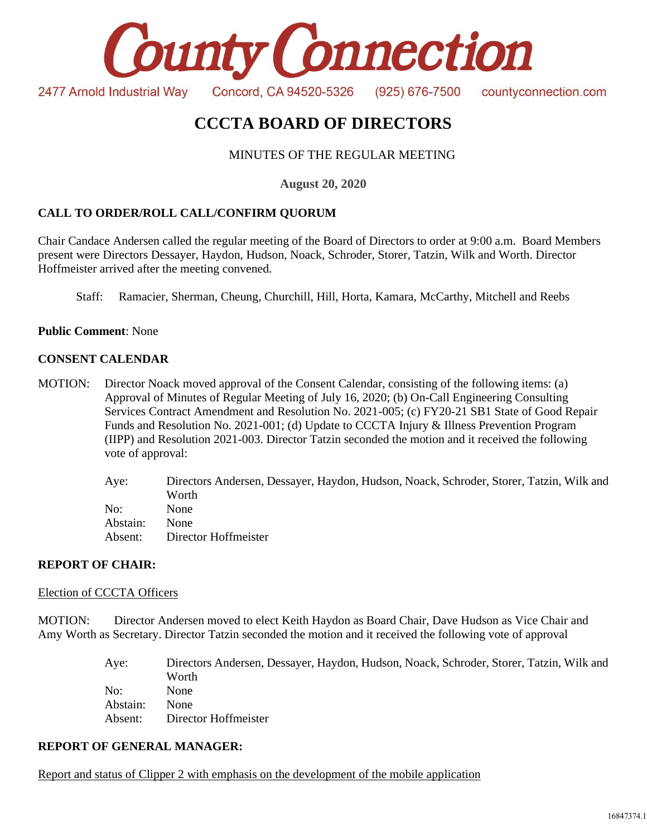

# **CCCTA BOARD OF DIRECTORS**

# MINUTES OF THE REGULAR MEETING

**August 20, 2020**

# **CALL TO ORDER/ROLL CALL/CONFIRM QUORUM**

Chair Candace Andersen called the regular meeting of the Board of Directors to order at 9:00 a.m. Board Members present were Directors Dessayer, Haydon, Hudson, Noack, Schroder, Storer, Tatzin, Wilk and Worth. Director Hoffmeister arrived after the meeting convened.

Staff: Ramacier, Sherman, Cheung, Churchill, Hill, Horta, Kamara, McCarthy, Mitchell and Reebs

**Public Comment**: None

#### **CONSENT CALENDAR**

MOTION: Director Noack moved approval of the Consent Calendar, consisting of the following items: (a) Approval of Minutes of Regular Meeting of July 16, 2020; (b) On-Call Engineering Consulting Services Contract Amendment and Resolution No. 2021-005; (c) FY20-21 SB1 State of Good Repair Funds and Resolution No. 2021-001; (d) Update to CCCTA Injury & Illness Prevention Program (IIPP) and Resolution 2021-003. Director Tatzin seconded the motion and it received the following vote of approval:

> Aye: Directors Andersen, Dessayer, Haydon, Hudson, Noack, Schroder, Storer, Tatzin, Wilk and Worth No: None Abstain: None Absent: Director Hoffmeister

### **REPORT OF CHAIR:**

#### Election of CCCTA Officers

MOTION: Director Andersen moved to elect Keith Haydon as Board Chair, Dave Hudson as Vice Chair and Amy Worth as Secretary. Director Tatzin seconded the motion and it received the following vote of approval

| Aye:     | Directors Andersen, Dessayer, Haydon, Hudson, Noack, Schroder, Storer, Tatzin, Wilk and |
|----------|-----------------------------------------------------------------------------------------|
|          | Worth                                                                                   |
| No:      | <b>None</b>                                                                             |
| Abstain: | <b>None</b>                                                                             |
| Absent:  | Director Hoffmeister                                                                    |

#### **REPORT OF GENERAL MANAGER:**

Report and status of Clipper 2 with emphasis on the development of the mobile application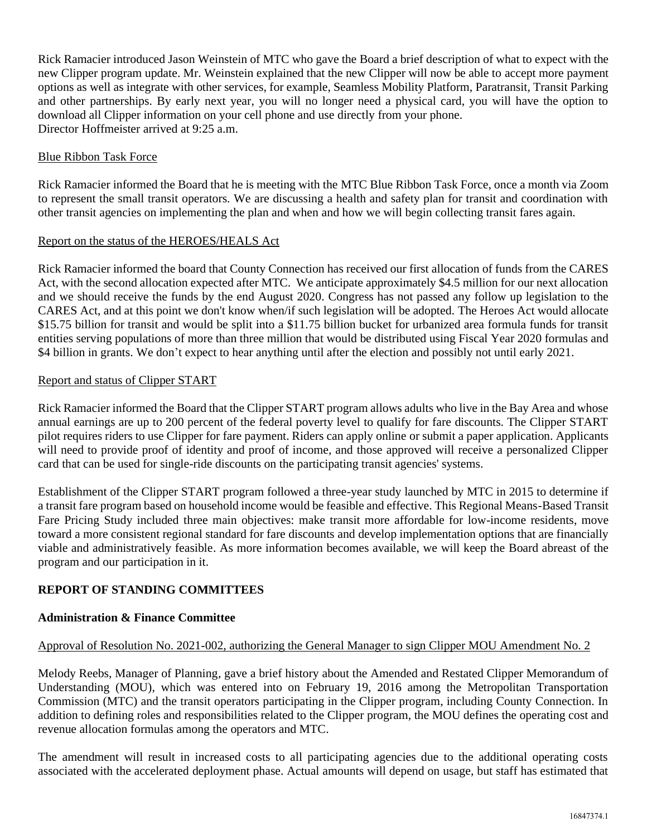Rick Ramacier introduced Jason Weinstein of MTC who gave the Board a brief description of what to expect with the new Clipper program update. Mr. Weinstein explained that the new Clipper will now be able to accept more payment options as well as integrate with other services, for example, Seamless Mobility Platform, Paratransit, Transit Parking and other partnerships. By early next year, you will no longer need a physical card, you will have the option to download all Clipper information on your cell phone and use directly from your phone. Director Hoffmeister arrived at 9:25 a.m.

## Blue Ribbon Task Force

Rick Ramacier informed the Board that he is meeting with the MTC Blue Ribbon Task Force, once a month via Zoom to represent the small transit operators. We are discussing a health and safety plan for transit and coordination with other transit agencies on implementing the plan and when and how we will begin collecting transit fares again.

## Report on the status of the HEROES/HEALS Act

Rick Ramacier informed the board that County Connection has received our first allocation of funds from the CARES Act, with the second allocation expected after MTC. We anticipate approximately \$4.5 million for our next allocation and we should receive the funds by the end August 2020. Congress has not passed any follow up legislation to the CARES Act, and at this point we don't know when/if such legislation will be adopted. The Heroes Act would allocate \$15.75 billion for transit and would be split into a \$11.75 billion bucket for urbanized area formula funds for transit entities serving populations of more than three million that would be distributed using Fiscal Year 2020 formulas and \$4 billion in grants. We don't expect to hear anything until after the election and possibly not until early 2021.

### Report and status of Clipper START

Rick Ramacier informed the Board that the Clipper START program allows adults who live in the Bay Area and whose annual earnings are up to 200 percent of the federal poverty level to qualify for fare discounts. The Clipper START pilot requires riders to use Clipper for fare payment. Riders can apply online or submit a paper application. Applicants will need to provide proof of identity and proof of income, and those approved will receive a personalized Clipper card that can be used for single-ride discounts on the participating transit agencies' systems.

Establishment of the Clipper START program followed a three-year study launched by MTC in 2015 to determine if a transit fare program based on household income would be feasible and effective. This Regional Means-Based Transit Fare Pricing Study included three main objectives: make transit more affordable for low-income residents, move toward a more consistent regional standard for fare discounts and develop implementation options that are financially viable and administratively feasible. As more information becomes available, we will keep the Board abreast of the program and our participation in it.

# **REPORT OF STANDING COMMITTEES**

### **Administration & Finance Committee**

### Approval of Resolution No. 2021-002, authorizing the General Manager to sign Clipper MOU Amendment No. 2

Melody Reebs, Manager of Planning, gave a brief history about the Amended and Restated Clipper Memorandum of Understanding (MOU), which was entered into on February 19, 2016 among the Metropolitan Transportation Commission (MTC) and the transit operators participating in the Clipper program, including County Connection. In addition to defining roles and responsibilities related to the Clipper program, the MOU defines the operating cost and revenue allocation formulas among the operators and MTC.

The amendment will result in increased costs to all participating agencies due to the additional operating costs associated with the accelerated deployment phase. Actual amounts will depend on usage, but staff has estimated that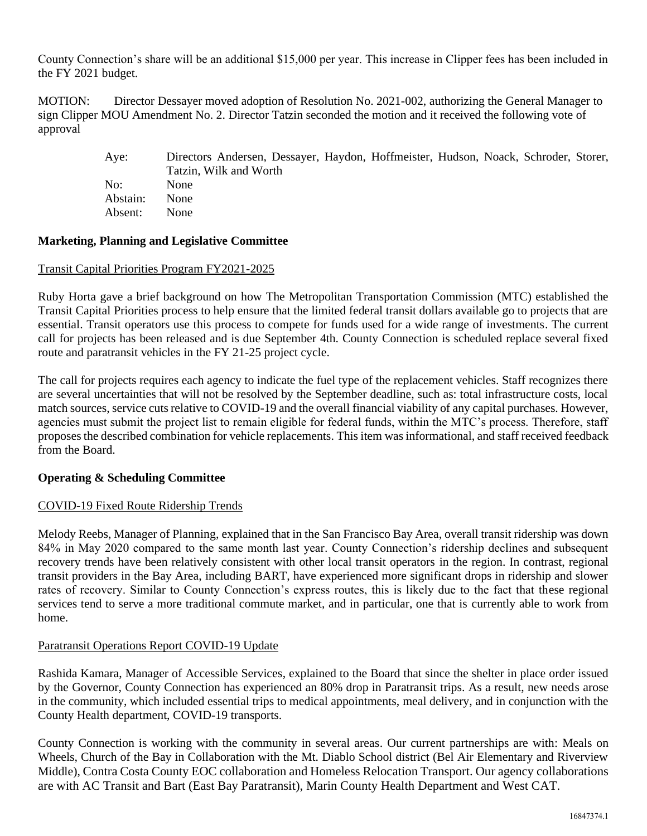County Connection's share will be an additional \$15,000 per year. This increase in Clipper fees has been included in the FY 2021 budget.

MOTION: Director Dessayer moved adoption of Resolution No. 2021-002, authorizing the General Manager to sign Clipper MOU Amendment No. 2. Director Tatzin seconded the motion and it received the following vote of approval

> Aye: Directors Andersen, Dessayer, Haydon, Hoffmeister, Hudson, Noack, Schroder, Storer, Tatzin, Wilk and Worth No: None Abstain: None Absent: None

### **Marketing, Planning and Legislative Committee**

#### Transit Capital Priorities Program FY2021-2025

Ruby Horta gave a brief background on how The Metropolitan Transportation Commission (MTC) established the Transit Capital Priorities process to help ensure that the limited federal transit dollars available go to projects that are essential. Transit operators use this process to compete for funds used for a wide range of investments. The current call for projects has been released and is due September 4th. County Connection is scheduled replace several fixed route and paratransit vehicles in the FY 21-25 project cycle.

The call for projects requires each agency to indicate the fuel type of the replacement vehicles. Staff recognizes there are several uncertainties that will not be resolved by the September deadline, such as: total infrastructure costs, local match sources, service cuts relative to COVID-19 and the overall financial viability of any capital purchases. However, agencies must submit the project list to remain eligible for federal funds, within the MTC's process. Therefore, staff proposes the described combination for vehicle replacements. This item was informational, and staff received feedback from the Board.

### **Operating & Scheduling Committee**

### COVID-19 Fixed Route Ridership Trends

Melody Reebs, Manager of Planning, explained that in the San Francisco Bay Area, overall transit ridership was down 84% in May 2020 compared to the same month last year. County Connection's ridership declines and subsequent recovery trends have been relatively consistent with other local transit operators in the region. In contrast, regional transit providers in the Bay Area, including BART, have experienced more significant drops in ridership and slower rates of recovery. Similar to County Connection's express routes, this is likely due to the fact that these regional services tend to serve a more traditional commute market, and in particular, one that is currently able to work from home.

### Paratransit Operations Report COVID-19 Update

Rashida Kamara, Manager of Accessible Services, explained to the Board that since the shelter in place order issued by the Governor, County Connection has experienced an 80% drop in Paratransit trips. As a result, new needs arose in the community, which included essential trips to medical appointments, meal delivery, and in conjunction with the County Health department, COVID-19 transports.

County Connection is working with the community in several areas. Our current partnerships are with: Meals on Wheels, Church of the Bay in Collaboration with the Mt. Diablo School district (Bel Air Elementary and Riverview Middle), Contra Costa County EOC collaboration and Homeless Relocation Transport. Our agency collaborations are with AC Transit and Bart (East Bay Paratransit), Marin County Health Department and West CAT.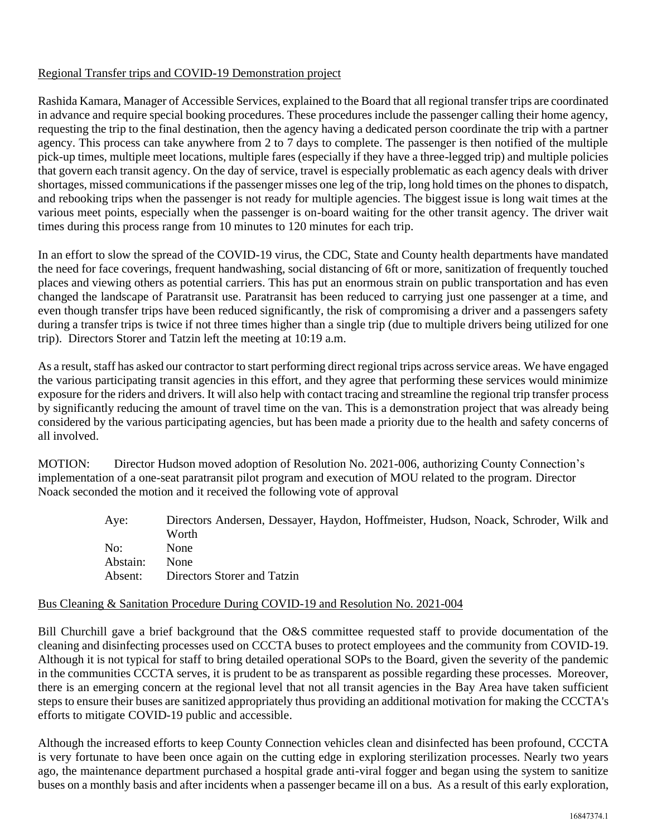# Regional Transfer trips and COVID-19 Demonstration project

Rashida Kamara, Manager of Accessible Services, explained to the Board that all regional transfer trips are coordinated in advance and require special booking procedures. These procedures include the passenger calling their home agency, requesting the trip to the final destination, then the agency having a dedicated person coordinate the trip with a partner agency. This process can take anywhere from 2 to 7 days to complete. The passenger is then notified of the multiple pick-up times, multiple meet locations, multiple fares (especially if they have a three-legged trip) and multiple policies that govern each transit agency. On the day of service, travel is especially problematic as each agency deals with driver shortages, missed communicationsif the passenger misses one leg of the trip, long hold times on the phones to dispatch, and rebooking trips when the passenger is not ready for multiple agencies. The biggest issue is long wait times at the various meet points, especially when the passenger is on-board waiting for the other transit agency. The driver wait times during this process range from 10 minutes to 120 minutes for each trip.

In an effort to slow the spread of the COVID-19 virus, the CDC, State and County health departments have mandated the need for face coverings, frequent handwashing, social distancing of 6ft or more, sanitization of frequently touched places and viewing others as potential carriers. This has put an enormous strain on public transportation and has even changed the landscape of Paratransit use. Paratransit has been reduced to carrying just one passenger at a time, and even though transfer trips have been reduced significantly, the risk of compromising a driver and a passengers safety during a transfer trips is twice if not three times higher than a single trip (due to multiple drivers being utilized for one trip). Directors Storer and Tatzin left the meeting at 10:19 a.m.

As a result, staff has asked our contractor to start performing direct regional trips across service areas. We have engaged the various participating transit agencies in this effort, and they agree that performing these services would minimize exposure for the riders and drivers. It will also help with contact tracing and streamline the regional trip transfer process by significantly reducing the amount of travel time on the van. This is a demonstration project that was already being considered by the various participating agencies, but has been made a priority due to the health and safety concerns of all involved.

MOTION: Director Hudson moved adoption of Resolution No. 2021-006, authorizing County Connection's implementation of a one-seat paratransit pilot program and execution of MOU related to the program. Director Noack seconded the motion and it received the following vote of approval

> Aye: Directors Andersen, Dessayer, Haydon, Hoffmeister, Hudson, Noack, Schroder, Wilk and Worth No: None Abstain: None Absent: Directors Storer and Tatzin

### Bus Cleaning & Sanitation Procedure During COVID-19 and Resolution No. 2021-004

Bill Churchill gave a brief background that the O&S committee requested staff to provide documentation of the cleaning and disinfecting processes used on CCCTA buses to protect employees and the community from COVID-19. Although it is not typical for staff to bring detailed operational SOPs to the Board, given the severity of the pandemic in the communities CCCTA serves, it is prudent to be as transparent as possible regarding these processes. Moreover, there is an emerging concern at the regional level that not all transit agencies in the Bay Area have taken sufficient steps to ensure their buses are sanitized appropriately thus providing an additional motivation for making the CCCTA's efforts to mitigate COVID-19 public and accessible.

Although the increased efforts to keep County Connection vehicles clean and disinfected has been profound, CCCTA is very fortunate to have been once again on the cutting edge in exploring sterilization processes. Nearly two years ago, the maintenance department purchased a hospital grade anti-viral fogger and began using the system to sanitize buses on a monthly basis and after incidents when a passenger became ill on a bus. As a result of this early exploration,